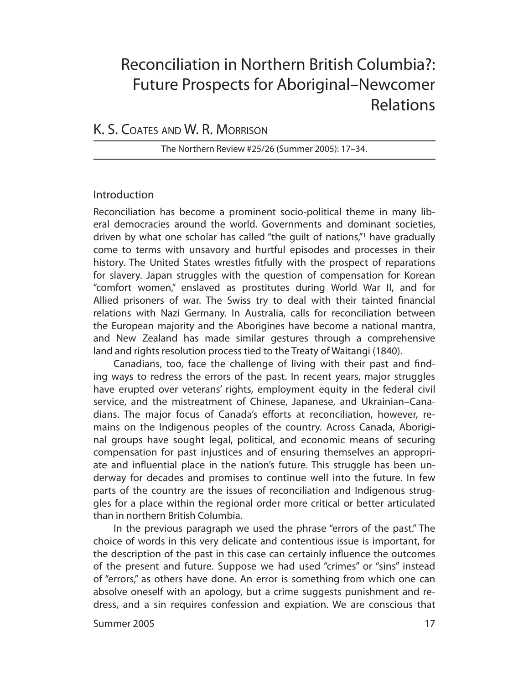# Reconciliation in Northern British Columbia?: Future Prospects for Aboriginal–Newcomer Relations

## K. S. COATES AND W. R. MORRISON

The Northern Review #25/26 (Summer 2005): 17–34.

## Introduction

Reconciliation has become a prominent socio-political theme in many liberal democracies around the world. Governments and dominant societies, driven by what one scholar has called "the guilt of nations,"1 have gradually come to terms with unsavory and hurtful episodes and processes in their history. The United States wrestles fitfully with the prospect of reparations for slavery. Japan struggles with the question of compensation for Korean "comfort wo men," enslaved as prostitutes during World War II, and for Allied prisoners of war. The Swiss try to deal with their tainted financial relations with Nazi Germany. In Australia, calls for reconciliation between the European majority and the Aborigines have become a national mantra, and New Zealand has made similar gestures through a comprehensive land and rights resolution process tied to the Treaty of Waitangi (1840).

Canadians, too, face the challenge of living with their past and finding ways to redress the errors of the past. In recent years, major struggles have erupted over veterans' rights, employment equity in the federal civil service, and the mistreatment of Chinese, Japanese, and Ukrainian–Canadians. The major focus of Canada's efforts at reconciliation, however, remains on the Indigenous peoples of the country. Across Canada, Aboriginal groups have sought legal, political, and economic means of securing compen sation for past injustices and of ensuring themselves an appropriate and influential place in the nation's future. This struggle has been underway for decades and promises to continue well into the future. In few parts of the country are the issues of reconciliation and Indigenous struggles for a place within the regional order more critical or better articulated than in northern British Columbia.

In the previous paragraph we used the phrase "errors of the past." The choice of words in this very delicate and contentious issue is important, for the description of the past in this case can certainly influence the outcomes of the present and future. Suppose we had used "crimes" or "sins" instead of "errors," as others have done. An error is something from which one can absolve oneself with an apology, but a crime suggests punishment and redress, and a sin requires confession and expiation. We are conscious that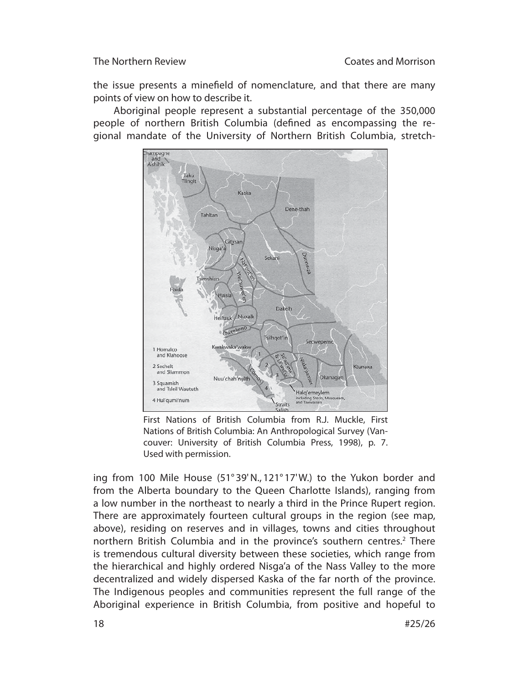the issue presents a minefield of nomenclature, and that there are many points of view on how to describe it.

Aboriginal people represent a substantial percentage of the 350,000 people of northern British Columbia (defined as encompassing the regional mandate of the University of Northern British Columbia, stretch-



First Nations of British Columbia from R.J. Muckle, First Nations of British Columbia: An Anthropological Survey (Vancouver: University of British Columbia Press, 1998), p. 7. Used with permission.

ing from 100 Mile House (51° 39' N., 121° 17' W.) to the Yukon border and from the Alberta boundary to the Queen Charlotte Islands), ranging from a low number in the northeast to nearly a third in the Prince Rupert region. There are approximately fourteen cultural groups in the region (see map, above), residing on reserves and in villages, towns and cities throughout northern British Columbia and in the province's southern centres.<sup>2</sup> There is tremendous cultural diversity between these societies, which range from the hierarchical and highly ordered Nisga'a of the Nass Valley to the more decentralized and widely dispersed Kaska of the far north of the province. The Indigenous peoples and communities represent the full range of the Aboriginal experience in British Columbia, from positive and hopeful to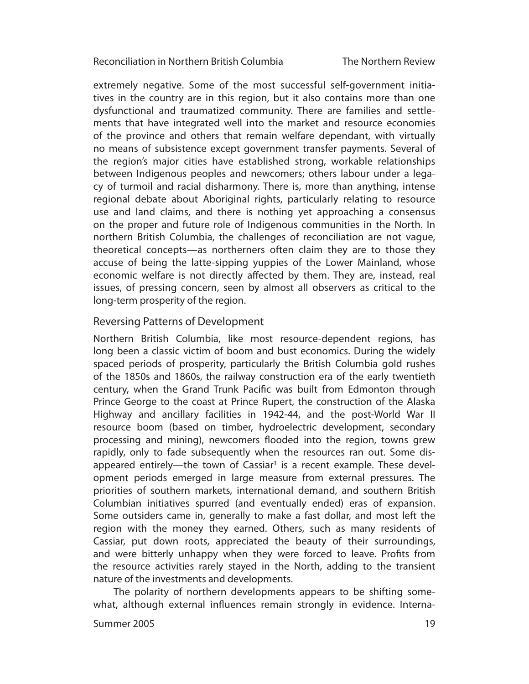The Northern Review

extremely negative. Some of the most successful self-government initiatives in the country are in this region, but it also contains more than one dysfunctional and traumatized community. There are families and settlements that have integrated well into the market and resource economies of the province and others that remain welfare dependant, with virtually no means of subsistence except government transfer payments. Several of the region's major cities have established strong, workable relationships between Indigenous peoples and newcomers; others labour under a legacy of turmoil and racial disharmony. There is, more than anything, intense regional debate about Aboriginal rights, particularly relating to resource use and land claims, and there is nothing yet approaching a consensus on the proper and future role of Indigenous communities in the North. In northern British Columbia, the challenges of reconciliation are not vague, theoretical concepts—as northerners often claim they are to those they accuse of being the latte-sipping yuppies of the Lower Mainland, whose economic welfare is not directly affected by them. They are, instead, real issues, of pressing concern, seen by almost all observers as critical to the long-term prosperity of the region.

## Reversing Patterns of Development

Northern British Columbia, like most resource-dependent regions, has long been a classic victim of boom and bust economics. During the widely spaced periods of prosperity, particularly the British Columbia gold rushes of the 1850s and 1860s, the railway construction era of the early twentieth century, when the Grand Trunk Pacific was built from Edmonton through Prince George to the coast at Prince Rupert, the construction of the Alaska Highway and ancillary facilities in 1942-44, and the post-World War II resource boom (based on timber, hydroelectric development, secondary processing and mining), newcomers flooded into the region, towns grew rapidly, only to fade subsequently when the resources ran out. Some disappeared entirely—the town of Cassiar<sup>3</sup> is a recent example. These development periods emerged in large measure from external pressures. The priorities of southern markets, international demand, and southern British Columbian initiatives spurred (and eventually ended) eras of expansion. Some outsiders came in, generally to make a fast dollar, and most left the region with the money they earned. Others, such as many residents of Cassiar, put down roots, appreciated the beauty of their surroundings, and were bitterly unhappy when they were forced to leave. Profits from the resource activities rarely stayed in the North, adding to the transient nature of the investments and developments.

The polarity of northern developments appears to be shifting somewhat, although external influences remain strongly in evidence. Interna-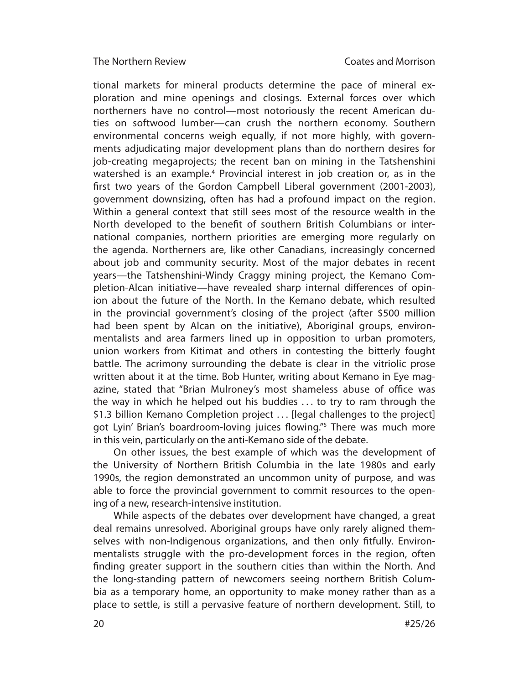tional markets for mineral products determine the pace of mineral exploration and mine openings and closings. External forces over which northerners have no control—most notoriously the recent American duties on softwood lumber—can crush the northern economy. Southern environmental concerns weigh equally, if not more highly, with governments adjudicating major development plans than do northern desires for job-creating megaprojects; the recent ban on mining in the Tatshenshini watershed is an example.<sup>4</sup> Provincial interest in job creation or, as in the first two years of the Gordon Campbell Liberal government (2001-2003), government downsizing, often has had a profound impact on the region. Within a general context that still sees most of the resource wealth in the North developed to the benefit of southern British Columbians or international companies, northern priorities are emerging more regularly on the agenda. Northerners are, like other Canadians, increasingly concerned about job and community security. Most of the major debates in recent years—the Tatshenshini-Windy Craggy mining project, the Kemano Completion-Alcan initiative—have revealed sharp internal differences of opinion about the future of the North. In the Kemano debate, which resulted in the provincial government's closing of the project (after \$500 million had been spent by Alcan on the initiative), Aboriginal groups, environmentalists and area farmers lined up in opposition to urban promoters, union workers from Kitimat and others in contesting the bitterly fought battle. The acrimony surrounding the debate is clear in the vitriolic prose written about it at the time. Bob Hunter, writing about Kemano in Eye magazine, stated that "Brian Mulroney's most shameless abuse of office was the way in which he helped out his buddies . . . to try to ram through the \$1.3 billion Kemano Completion project . . . [legal challenges to the project] got Lyin' Brian's boardroom-loving juices flowing."<sup>5</sup> There was much more in this vein, particularly on the anti-Kemano side of the debate.

On other issues, the best example of which was the development of the University of Northern British Columbia in the late 1980s and early 1990s, the region demonstrated an uncommon unity of purpose, and was able to force the provincial government to commit resources to the opening of a new, research-intensive institution.

While aspects of the debates over development have changed, a great deal remains unresolved. Aboriginal groups have only rarely aligned themselves with non-Indigenous organizations, and then only fitfully. Environmentalists struggle with the pro-development forces in the region, often finding greater support in the southern cities than within the North. And the long-standing pattern of newcomers seeing northern British Columbia as a temporary home, an opportunity to make money rather than as a place to settle, is still a pervasive feature of northern development. Still, to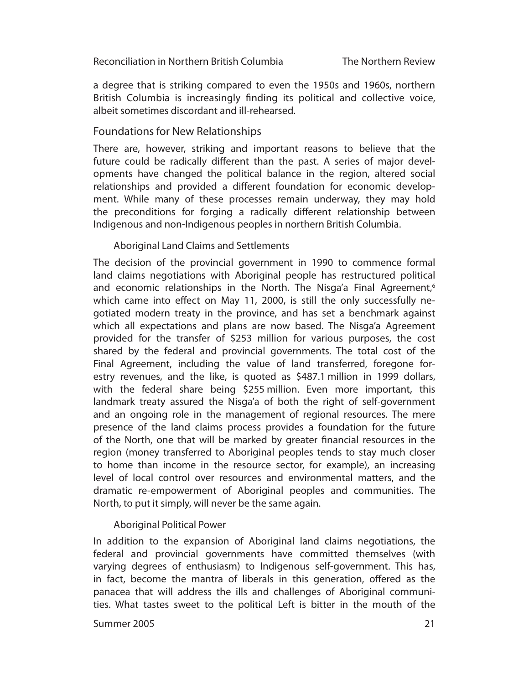a degree that is striking compared to even the 1950s and 1960s, northern British Columbia is increasingly finding its political and collective voice, albeit sometimes discordant and ill-rehearsed.

## Foundations for New Relationships

There are, however, striking and important reasons to believe that the future could be radically different than the past. A series of major developments have changed the political balance in the region, altered social relationships and provided a different foundation for economic development. While many of these processes remain underway, they may hold the preconditions for forging a radically different relationship between Indigenous and non-Indigenous peoples in northern British Columbia.

## Aboriginal Land Claims and Settlements

The decision of the provincial government in 1990 to commence formal land claims negotiations with Aboriginal people has restructured political and economic relationships in the North. The Nisga'a Final Agreement,<sup>6</sup> which came into effect on May 11, 2000, is still the only successfully negotiated modern treaty in the province, and has set a benchmark against which all expectations and plans are now based. The Nisga'a Agreement provided for the transfer of \$253 million for various purposes, the cost shared by the federal and provincial governments. The total cost of the Final Agreement, including the value of land transferred, foregone forestry revenues, and the like, is quoted as \$487.1 million in 1999 dollars, with the federal share being \$255 million. Even more important, this landmark treaty assured the Nisga'a of both the right of self-government and an ongoing role in the management of regional resources. The mere presence of the land claims process provides a foundation for the future of the North, one that will be marked by greater financial resources in the region (money transferred to Aboriginal peoples tends to stay much closer to home than income in the resource sector, for example), an increasing level of local control over resources and environmental matters, and the dramatic re-empowerment of Aboriginal peoples and communities. The North, to put it simply, will never be the same again.

## Aboriginal Political Power

In addition to the expansion of Aboriginal land claims negotiations, the federal and provincial governments have committed themselves (with varying degrees of enthusiasm) to Indigenous self-government. This has, in fact, become the mantra of liberals in this generation, offered as the panacea that will address the ills and challenges of Aboriginal communities. What tastes sweet to the political Left is bitter in the mouth of the

#### Summer 2005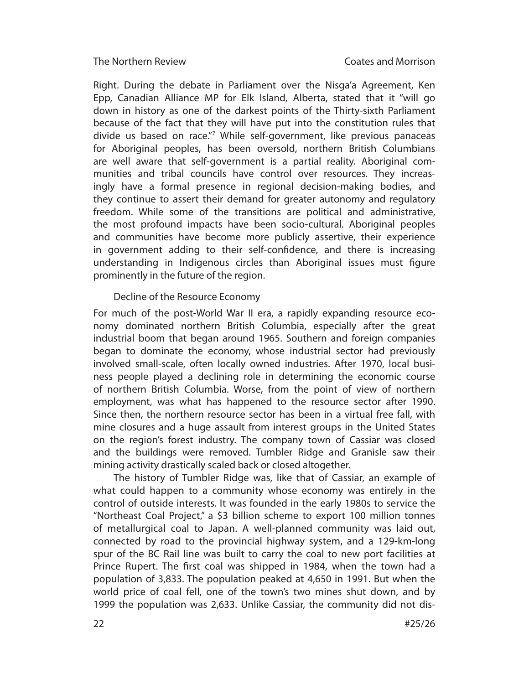Right. During the debate in Parliament over the Nisga'a Agreement, Ken Epp, Canadian Alliance MP for Elk Island, Alberta, stated that it "will go down in history as one of the darkest points of the Thirty-sixth Parliament because of the fact that they will have put into the constitution rules that divide us based on race."7 While self-government, like previous panaceas for Aboriginal peoples, has been oversold, northern British Columbians are well aware that self-government is a partial reality. Aboriginal communities and tribal councils have control over resources. They increasingly have a formal presence in regional decision-making bodies, and they continue to assert their demand for greater autonomy and regulatory freedom. While some of the transitions are political and administrative, the most profound impacts have been socio-cultural. Aboriginal peoples and communities have become more publicly assertive, their experience in government adding to their self-confidence, and there is increasing understanding in Indigenous circles than Aboriginal issues must figure prominently in the future of the region.

## Decline of the Resource Economy

For much of the post-World War II era, a rapidly expanding resource economy dominated northern British Columbia, especially after the great industrial boom that began around 1965. Southern and foreign companies began to dominate the economy, whose industrial sector had previously involved small-scale, often locally owned industries. After 1970, local business people played a declining role in determining the economic course of northern British Columbia. Worse, from the point of view of northern employment, was what has happened to the resource sector after 1990. Since then, the northern resource sector has been in a virtual free fall, with mine closures and a huge assault from interest groups in the United States on the region's forest industry. The company town of Cassiar was closed and the buildings were removed. Tumbler Ridge and Granisle saw their mining activity drastically scaled back or closed altogether.

The history of Tumbler Ridge was, like that of Cassiar, an example of what could happen to a community whose economy was entirely in the con trol of outside interests. It was founded in the early 1980s to service the "Nor theast Coal Project," a \$3 billion scheme to export 100 million tonnes of metallurgical coal to Japan. A well-planned community was laid out, connected by road to the provincial highway system, and a 129-km-long spur of the BC Rail line was built to carry the coal to new port facilities at Prince Rupert. The first coal was shipped in 1984, when the town had a population of 3,833. The population peaked at 4,650 in 1991. But when the world price of coal fell, one of the town's two mines shut down, and by 1999 the population was 2,633. Unlike Cassiar, the community did not dis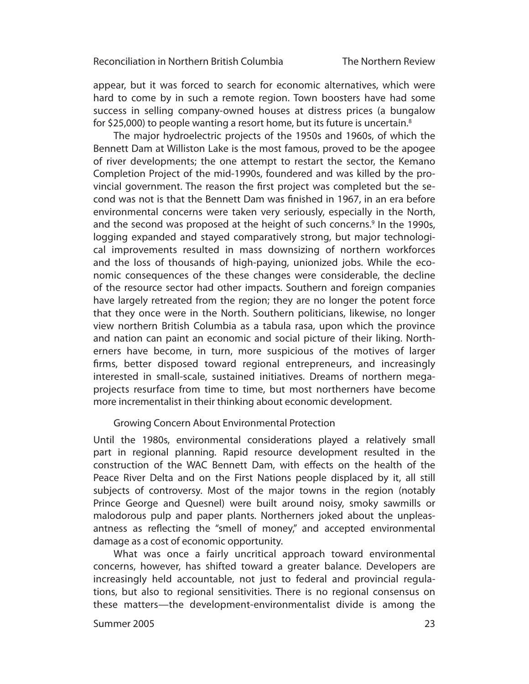appear, but it was forced to search for economic alternatives, which were hard to come by in such a remote region. Town boosters have had some success in selling company-owned houses at distress prices (a bungalow for \$25,000) to people wanting a resort home, but its future is uncertain.<sup>8</sup>

The major hydroelectric projects of the 1950s and 1960s, of which the Bennett Dam at Williston Lake is the most famous, proved to be the apogee of river developments; the one attempt to restart the sector, the Kemano Completion Project of the mid-1990s, foundered and was killed by the provincial government. The reason the first project was completed but the second was not is that the Bennett Dam was finished in 1967, in an era before environmental concerns were taken very seriously, especially in the North, and the second was proposed at the height of such concerns.<sup>9</sup> In the 1990s, logging expanded and stayed comparatively strong, but major technological improvements resulted in mass downsizing of northern workforces and the loss of thousands of high-paying, unionized jobs. While the economic consequences of the these changes were considerable, the decline of the resource sector had other impacts. Southern and foreign companies have largely retreated from the region; they are no longer the potent force that they once were in the North. Southern politicians, likewise, no longer view northern British Columbia as a tabula rasa, upon which the province and nation can paint an economic and social picture of their liking. Northerners have become, in turn, more suspicious of the motives of larger firms, better disposed toward regional entrepreneurs, and increasingly interested in small-scale, sustained initiatives. Dreams of northern megaprojects resurface from time to time, but most northerners have become more incrementalist in their thinking about economic development.

#### Growing Concern About Environmental Protection

Until the 1980s, environmental considerations played a relatively small part in regional planning. Rapid resource development resulted in the construction of the WAC Bennett Dam, with effects on the health of the Peace River Delta and on the First Nations people displaced by it, all still subjects of controversy. Most of the major towns in the region (notably Prince George and Quesnel) were built around noisy, smoky sawmills or malodorous pulp and paper plants. Northerners joked about the unpleasantness as reflecting the "smell of money," and accepted environmental damage as a cost of economic opportunity.

What was once a fairly uncritical approach toward environmental concerns, however, has shifted toward a greater balance. Developers are increasingly held accountable, not just to federal and provincial regulations, but also to regional sensitivities. There is no regional consensus on these matters—the development-environmentalist divide is among the

#### Summer 2005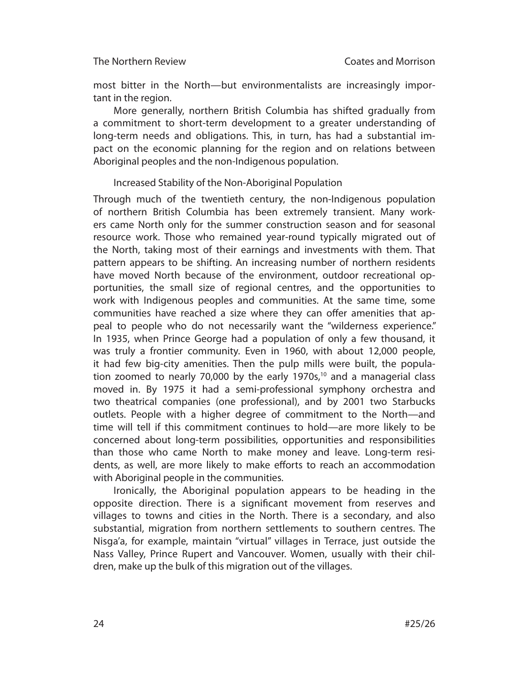most bitter in the North—but environmentalists are increasingly important in the region.

More generally, northern British Columbia has shifted gradually from a com mitment to short-term development to a greater understanding of long-term needs and obligations. This, in turn, has had a substantial impact on the economic planning for the region and on relations between Aboriginal peoples and the non-Indigenous population.

## Increased Stability of the Non-Aboriginal Population

Through much of the twentieth century, the non-Indigenous population of northern British Columbia has been extremely transient. Many workers came North only for the summer construction season and for seasonal resource work. Those who remained year-round typically migrated out of the North, taking most of their earnings and investments with them. That pattern appears to be shifting. An increasing number of northern residents have moved North because of the environment, outdoor recreational opportunities, the small size of regional centres, and the opportunities to work with Indigenous peoples and communities. At the same time, some communities have reached a size where they can offer amenities that appeal to people who do not necessarily want the "wilderness experience." In 1935, when Prince George had a population of only a few thousand, it was truly a frontier community. Even in 1960, with about 12,000 people, it had few big-city amenities. Then the pulp mills were built, the population zoomed to nearly 70,000 by the early 1970s, $10$  and a managerial class moved in. By 1975 it had a semi-professional symphony orchestra and two theatrical companies (one professional), and by 2001 two Starbucks outlets. People with a higher degree of commitment to the North—and time will tell if this commitment continues to hold—are more likely to be concerned about long-term possibilities, opportunities and responsibilities than those who came North to make money and leave. Long-term residents, as well, are more likely to make efforts to reach an accommodation with Aboriginal people in the communities.

Ironically, the Aboriginal population appears to be heading in the opposite direction. There is a significant movement from reserves and villages to towns and cities in the North. There is a secondary, and also substantial, migration from northern settlements to southern centres. The Nisga'a, for example, maintain "virtual" villages in Terrace, just outside the Nass Valley, Prince Rupert and Vancouver. Women, usually with their children, make up the bulk of this migration out of the villages.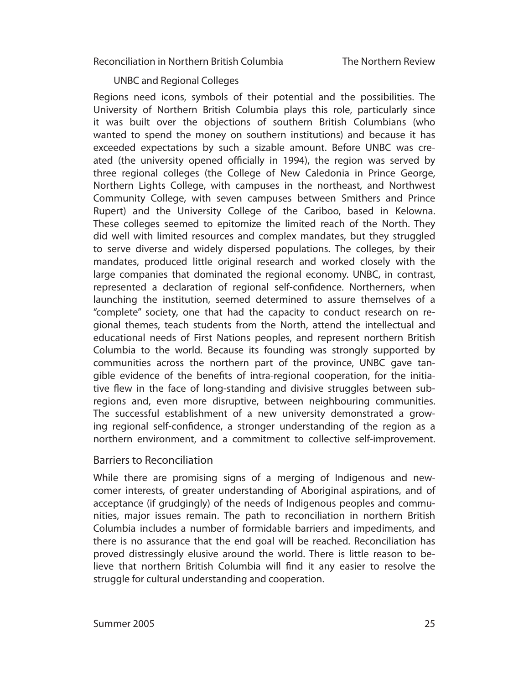UNBC and Regional Colleges

Regions need icons, symbols of their potential and the possibilities. The University of Northern British Columbia plays this role, particularly since it was built over the objections of southern British Columbians (who wanted to spend the money on southern institutions) and because it has exceeded expectations by such a sizable amount. Before UNBC was created (the university opened officially in 1994), the region was served by three regional colleges (the College of New Caledonia in Prince George, Northern Lights College, with campuses in the northeast, and Northwest Community College, with seven campuses between Smithers and Prince Rupert) and the University College of the Cariboo, based in Kelowna. These colleges seemed to epitomize the limited reach of the North. They did well with limited resources and complex mandates, but they struggled to serve diverse and widely dispersed populations. The colleges, by their mandates, produced little original research and worked closely with the large companies that dominated the regional economy. UNBC, in contrast, represented a declaration of regional self-confidence. Northerners, when launching the institution, seemed determined to assure themselves of a "complete" society, one that had the capacity to conduct research on regional themes, teach students from the North, attend the intellectual and educational needs of First Nations peoples, and represent northern British Columbia to the world. Because its founding was strongly supported by communities across the northern part of the province, UNBC gave tangible evidence of the benefits of intra-regional cooperation, for the initiative flew in the face of long-standing and divisive struggles between subregions and, even more disruptive, between neighbouring communities. The successful establishment of a new university demonstrated a growing regional self-confidence, a stronger understanding of the region as a northern environment, and a commitment to collective self-improvement.

## Barriers to Reconciliation

While there are promising signs of a merging of Indigenous and newcomer interests, of greater understanding of Aboriginal aspirations, and of acceptance (if grudgingly) of the needs of Indigenous peoples and communities, major issues remain. The path to reconciliation in northern British Columbia includes a number of formidable barriers and impediments, and there is no assurance that the end goal will be reached. Reconciliation has proved distressingly elusive around the world. There is little reason to believe that northern British Columbia will find it any easier to resolve the struggle for cultural understanding and cooperation.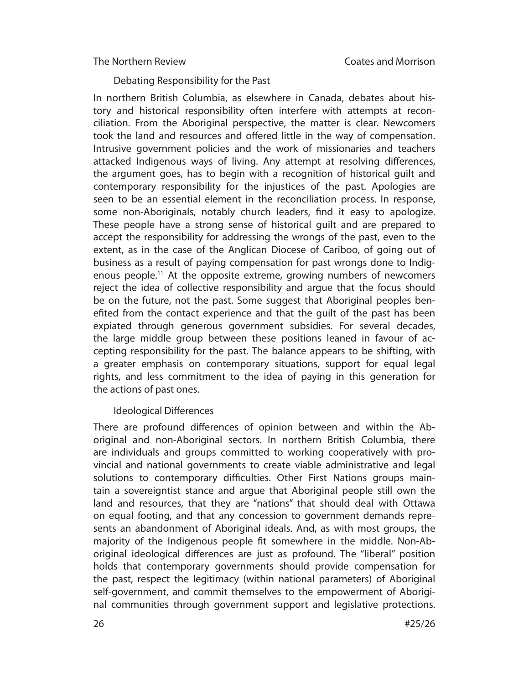Debating Responsibility for the Past

In northern British Columbia, as elsewhere in Canada, debates about history and historical responsibility often interfere with attempts at reconciliation. From the Aboriginal perspective, the matter is clear. Newcomers took the land and resources and offered little in the way of compensation. Intrusive government policies and the work of missionaries and teachers attacked Indigenous ways of living. Any attempt at resolving differences, the argument goes, has to begin with a recognition of historical guilt and contemporary responsibility for the injustices of the past. Apologies are seen to be an essential element in the reconciliation process. In response, some non-Aboriginals, notably church leaders, find it easy to apologize. These people have a strong sense of historical guilt and are prepared to accept the responsibility for addressing the wrongs of the past, even to the extent, as in the case of the Anglican Diocese of Cariboo, of going out of business as a result of paying compensation for past wrongs done to Indigenous people.<sup>11</sup> At the opposite extreme, growing numbers of newcomers reject the idea of collective responsibility and arque that the focus should be on the future, not the past. Some suggest that Aboriginal peoples benefited from the contact experience and that the guilt of the past has been expiated through generous government subsidies. For several decades, the large middle group between these positions leaned in favour of accepting responsibility for the past. The balance appears to be shifting, with a greater emphasis on contemporary situations, support for equal legal rights, and less commitment to the idea of paying in this generation for the actions of past ones.

## Ideological Differences

There are profound differences of opinion between and within the Aboriginal and non-Aboriginal sectors. In northern British Columbia, there are individuals and groups committed to working cooperatively with provincial and national governments to create viable administrative and legal solutions to contemporary difficulties. Other First Nations groups maintain a sovereigntist stance and argue that Aboriginal people still own the land and resources, that they are "nations" that should deal with Ottawa on equal footing, and that any concession to government demands represents an abandonment of Aboriginal ideals. And, as with most groups, the majority of the Indigenous people fit somewhere in the middle. Non-Aboriginal ideological differences are just as profound. The "liberal" position holds that contemporary governments should provide compensation for the past, respect the legitimacy (within national parameters) of Aboriginal self-government, and commit themselves to the empowerment of Aboriginal communities through government support and legislative protections.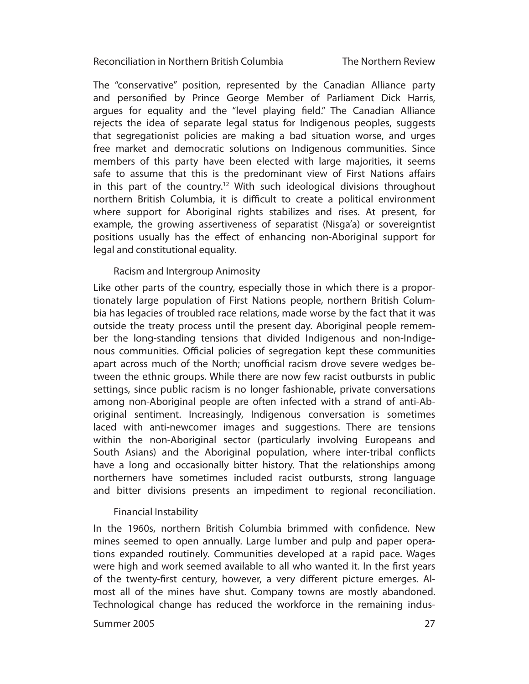The Northern Review

The "conservative" position, represented by the Canadian Alliance party and personified by Prince George Member of Parliament Dick Harris, argues for equality and the "level playing field." The Canadian Alliance rejects the idea of separate legal status for Indigenous peoples, suggests that segregationist policies are making a bad situation worse, and urges free market and democratic solutions on Indigenous communities. Since members of this party have been elected with large majorities, it seems safe to assume that this is the predominant view of First Nations affairs in this part of the country.<sup>12</sup> With such ideological divisions throughout northern British Columbia, it is difficult to create a political environment where support for Aboriginal rights stabilizes and rises. At present, for example, the growing assertiveness of separatist (Nisga'a) or sovereigntist positions usually has the effect of enhancing non-Aboriginal support for legal and constitutional equality.

## Racism and Intergroup Animosity

Like other parts of the country, especially those in which there is a proportionately large population of First Nations people, northern British Columbia has legacies of troubled race relations, made worse by the fact that it was outside the treaty process until the present day. Aboriginal people remember the long-standing tensions that divided Indigenous and non-Indigenous communities. Official policies of segregation kept these communities apart across much of the North; unofficial racism drove severe wedges between the ethnic groups. While there are now few racist outbursts in public settings, since public racism is no longer fashionable, private conversations among non-Aboriginal people are often infected with a strand of anti-Aboriginal sentiment. Increasingly, Indigenous conversation is sometimes laced with anti-newcomer images and suggestions. There are tensions within the non-Aboriginal sector (particularly involving Europeans and South Asians) and the Aboriginal population, where inter-tribal conflicts have a long and occasionally bitter history. That the relationships among northerners have sometimes included racist outbursts, strong language and bitter divisions presents an impediment to regional reconciliation.

#### Financial Instability

In the 1960s, northern British Columbia brimmed with confidence. New mines seemed to open annually. Large lumber and pulp and paper operations expanded routinely. Communities developed at a rapid pace. Wages were high and work seemed available to all who wanted it. In the first years of the twenty-first century, however, a very different picture emerges. Almost all of the mines have shut. Company towns are mostly abandoned. Technological change has reduced the workforce in the remaining indus-

#### Summer 2005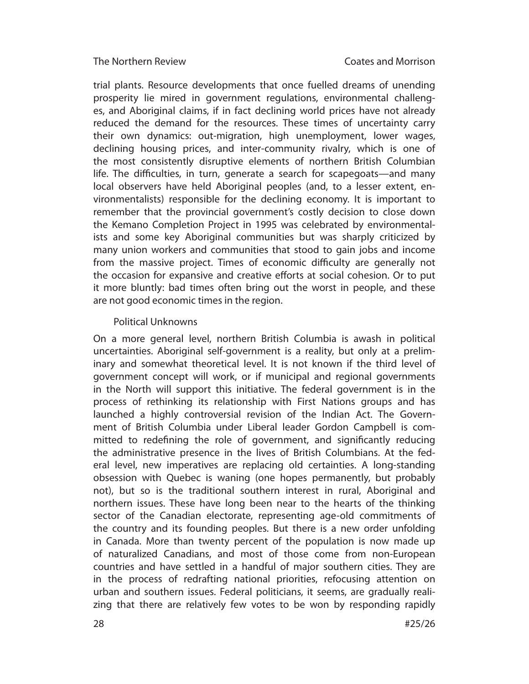trial plants. Resource developments that once fuelled dreams of unending prosperity lie mired in government regulations, environmental challenges, and Aboriginal claims, if in fact declining world prices have not already reduced the demand for the resources. These times of uncertainty carry their own dynamics: out-migration, high unemployment, lower wages, declining housing prices, and inter-community rivalry, which is one of the most consistently disruptive elements of northern British Columbian life. The difficulties, in turn, generate a search for scapegoats—and many local observers have held Aboriginal peoples (and, to a lesser extent, environmentalists) responsible for the declining economy. It is important to remember that the provincial government's costly decision to close down the Kemano Completion Project in 1995 was celebrated by environmentalists and some key Aboriginal communities but was sharply criticized by many union workers and communities that stood to gain jobs and income from the massive project. Times of economic difficulty are generally not the occasion for expansive and creative efforts at social cohesion. Or to put it more bluntly: bad times often bring out the worst in people, and these are not good economic times in the region.

## Political Unknowns

On a more general level, northern British Columbia is awash in political un certainties. Aboriginal self-government is a reality, but only at a preliminary and somewhat theoretical level. It is not known if the third level of govern ment concept will work, or if municipal and regional governments in the North will support this initiative. The federal government is in the pro cess of rethinking its relationship with First Nations groups and has launched a highly controversial revision of the Indian Act. The Government of British Columbia under Liberal leader Gordon Campbell is committed to redefining the role of government, and significantly reducing the administrative presence in the lives of British Columbians. At the federal level, new imperatives are replacing old certainties. A long-standing obsession with Quebec is waning (one hopes permanently, but probably not), but so is the traditional southern interest in rural, Aboriginal and northern issues. These have long been near to the hearts of the thinking sector of the Canadian electorate, representing age-old commitments of the country and its founding peoples. But there is a new order unfolding in Canada. More than twenty percent of the population is now made up of naturalized Canadians, and most of those come from non-European countries and have settled in a handful of major southern cities. They are in the process of redrafting national priorities, refocusing attention on urban and southern issues. Federal politicians, it seems, are gradually realizing that there are relatively few votes to be won by responding rapidly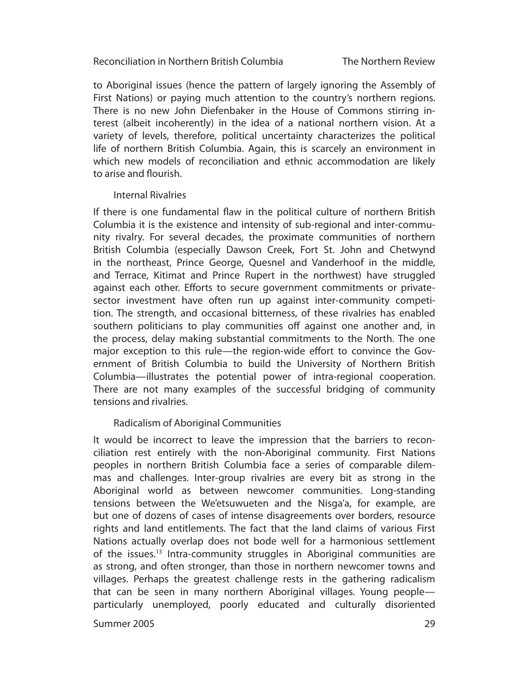The Northern Review

to Aboriginal issues (hence the pattern of largely ignoring the Assembly of First Nations) or paying much attention to the country's northern regions. There is no new John Diefenbaker in the House of Commons stirring interest (albeit incoherently) in the idea of a national northern vision. At a variety of levels, therefore, political uncertainty characterizes the political life of northern British Columbia. Again, this is scarcely an environment in which new models of reconciliation and ethnic accommodation are likely to arise and flourish

#### Internal Rivalries

If there is one fundamental flaw in the political culture of northern British Columbia it is the existence and intensity of sub-regional and inter-community rivalry. For several decades, the proximate communities of northern British Columbia (especially Dawson Creek, Fort St. John and Chetwynd in the northeast, Prince George, Quesnel and Vanderhoof in the middle, and Terrace, Kitimat and Prince Rupert in the northwest) have struggled against each other. Efforts to secure government commitments or privatesector investment have often run up against inter-community competition. The strength, and occasional bitterness, of these rivalries has enabled southern politicians to play communities off against one another and, in the process, delay making substantial commitments to the North. The one major exception to this rule—the region-wide effort to convince the Government of British Columbia to build the University of Northern British Columbia—illustrates the potential power of intra-regional cooperation. There are not many examples of the successful bridging of community tensions and rivalries.

## Radicalism of Aboriginal Communities

It would be incorrect to leave the impression that the barriers to reconciliation rest entirely with the non-Aboriginal community. First Nations peoples in northern British Columbia face a series of comparable dilemmas and challenges. Inter-group rivalries are every bit as strong in the Aboriginal world as between newcomer communities. Long-standing tensions between the We'et suwueten and the Nisga'a, for example, are but one of dozens of cases of intense disagreements over borders, resource rights and land entitlements. The fact that the land claims of various First Nations actually overlap does not bode well for a harmonious settlement of the issues.<sup>13</sup> Intra-community struggles in Aboriginal communities are as strong, and often stronger, than those in northern newcomer towns and villages. Perhaps the greatest challenge rests in the gathering radicalism that can be seen in many northern Aboriginal villages. Young people particularly unemployed, poorly educated and culturally disoriented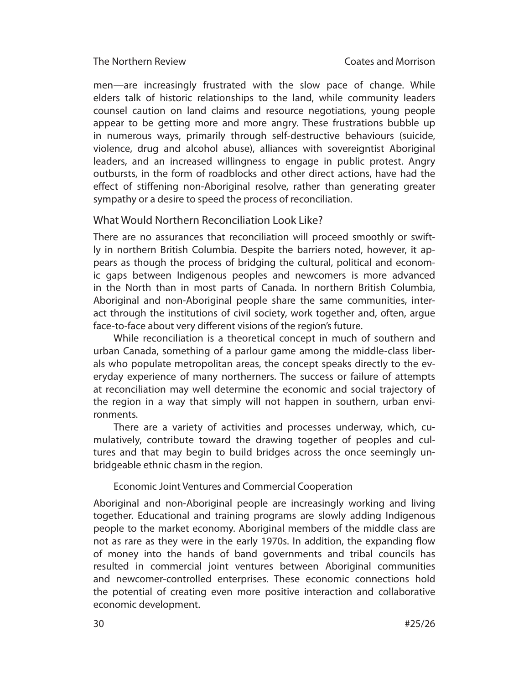men—are increasingly frustrated with the slow pace of change. While elders talk of historic relationships to the land, while community leaders counsel caution on land claims and resource negotiations, young people appear to be getting more and more angry. These frustrations bubble up in numerous ways, primarily through self-destructive behaviours (suicide, violence, drug and alcohol abuse), alliances with sovereigntist Aboriginal leaders, and an increased willingness to engage in public protest. Angry outbursts, in the form of roadblocks and other direct actions, have had the effect of stiffening non-Aboriginal resolve, rather than generating greater sympathy or a desire to speed the process of reconciliation.

## What Would Northern Reconciliation Look Like?

There are no assurances that reconciliation will proceed smoothly or swiftly in northern British Columbia. Despite the barriers noted, however, it appears as though the process of bridging the cultural, political and economic gaps between Indigenous peoples and newcomers is more advanced in the North than in most parts of Canada. In northern British Columbia, Aboriginal and non-Aboriginal people share the same communities, interact through the institutions of civil society, work together and, often, argue face-to-face about very different visions of the region's future.

While reconciliation is a theoretical concept in much of southern and urban Canada, something of a parlour game among the middle-class liberals who populate metropolitan areas, the concept speaks directly to the everyday experience of many northerners. The success or failure of attempts at reconciliation may well determine the economic and social trajectory of the region in a way that simply will not happen in southern, urban environments.

There are a variety of activities and processes underway, which, cumulatively, contribute toward the drawing together of peoples and cultures and that may begin to build bridges across the once seemingly unbridgeable ethnic chasm in the region.

## Economic Joint Ventures and Commercial Cooperation

Aboriginal and non-Aboriginal people are increasingly working and living together. Educational and training programs are slowly adding Indigenous people to the market economy. Aboriginal members of the middle class are not as rare as they were in the early 1970s. In addition, the expanding flow of money into the hands of band governments and tribal councils has resulted in commercial joint ventures between Aboriginal communities and newcomer-controlled enterprises. These economic connections hold the potential of creating even more positive interaction and collaborative economic development.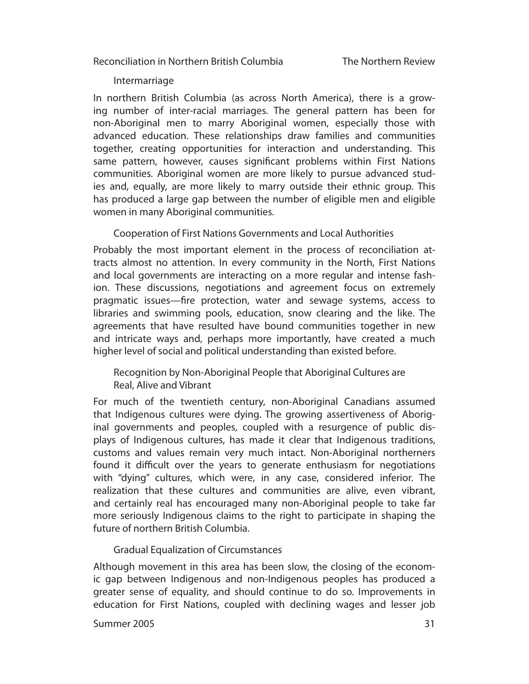#### Intermarriage

In northern British Columbia (as across North America), there is a growing number of inter-racial marriages. The general pattern has been for non-Aboriginal men to marry Aboriginal women, especially those with advanced education. These relationships draw families and communities together, creating opportunities for interaction and understanding. This same pattern, however, causes significant problems within First Nations communities. Aboriginal women are more likely to pursue advanced studies and, equally, are more likely to marry outside their ethnic group. This has produced a large gap between the number of eligible men and eligible women in many Aboriginal communities.

Cooperation of First Nations Governments and Local Authorities

Probably the most important element in the process of reconciliation attracts almost no attention. In every community in the North, First Nations and local governments are interacting on a more regular and intense fashion. These discussions, negotiations and agreement focus on extremely pragmatic issues—fire protection, water and sewage systems, access to libraries and swimming pools, education, snow clearing and the like. The agreements that have resulted have bound communities together in new and intricate ways and, perhaps more importantly, have created a much higher level of social and political understanding than existed before.

Recognition by Non-Aboriginal People that Aboriginal Cultures are Real, Alive and Vibrant

For much of the twentieth century, non-Aboriginal Canadians assumed that Indigenous cultures were dying. The growing assertiveness of Aboriginal govern ments and peoples, coupled with a resurgence of public displays of Indigen ous cultures, has made it clear that Indigenous traditions, customs and values remain very much intact. Non-Aboriginal northerners found it difficult over the years to generate enthusiasm for negotiations with "dying" cultures, which were, in any case, considered inferior. The realization that these cultures and communities are alive, even vibrant, and certainly real has encouraged many non-Aboriginal people to take far more seriously Indigenous claims to the right to participate in shaping the future of northern British Columbia.

Gradual Equalization of Circumstances

Although movement in this area has been slow, the closing of the economic gap between Indigenous and non-Indigenous peoples has produced a greater sense of equality, and should continue to do so. Improvements in education for First Nations, coupled with declining wages and lesser job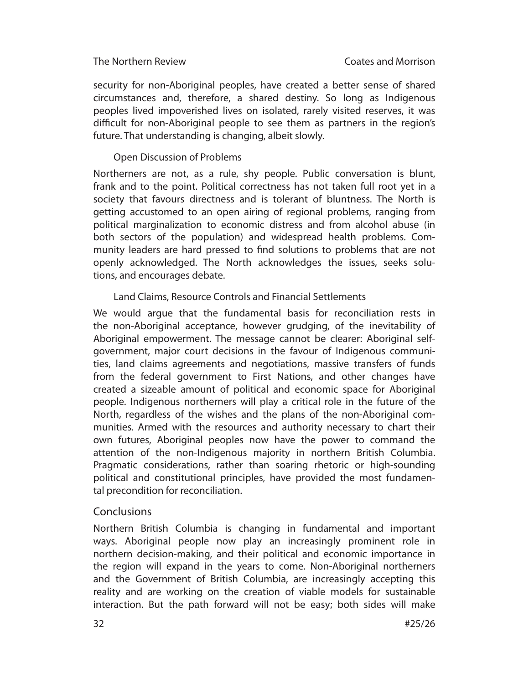security for non-Aboriginal peoples, have created a better sense of shared circumstances and, therefore, a shared destiny. So long as Indigenous peoples lived impoverished lives on isolated, rarely visited reserves, it was difficult for non-Aboriginal people to see them as partners in the region's future. That understanding is changing, albeit slowly.

## Open Discussion of Problems

Northerners are not, as a rule, shy people. Public conversation is blunt, frank and to the point. Political correctness has not taken full root yet in a society that favours directness and is tolerant of bluntness. The North is getting accustomed to an open airing of regional problems, ranging from political marginalization to economic distress and from alcohol abuse (in both sectors of the population) and widespread health problems. Community leaders are hard pressed to find solutions to problems that are not openly acknowledged. The North acknowledges the issues, seeks solutions, and encourages debate.

## Land Claims, Resource Controls and Financial Settlements

We would argue that the fundamental basis for reconciliation rests in the non-Aboriginal acceptance, however grudging, of the inevitability of Aboriginal empowerment. The message cannot be clearer: Aboriginal selfgovernment, major court decisions in the favour of Indigenous communities, land claims agreements and negotiations, massive transfers of funds from the federal government to First Nations, and other changes have created a sizeable amount of political and economic space for Aboriginal people. Indigenous northerners will play a critical role in the future of the North, regardless of the wishes and the plans of the non-Aboriginal communities. Armed with the resources and authority necessary to chart their own futures, Aboriginal peoples now have the power to command the attention of the non-Indigenous majority in northern British Columbia. Pragmatic considerations, rather than soaring rhetoric or high-sounding political and constitutional principles, have provided the most fundamental precondition for reconciliation.

## **Conclusions**

Northern British Columbia is changing in fundamental and important ways. Aboriginal people now play an increasingly prominent role in northern decision-making, and their political and economic importance in the region will expand in the years to come. Non-Aboriginal northerners and the Government of British Columbia, are increasingly accepting this reality and are working on the creation of viable models for sustainable interaction. But the path forward will not be easy; both sides will make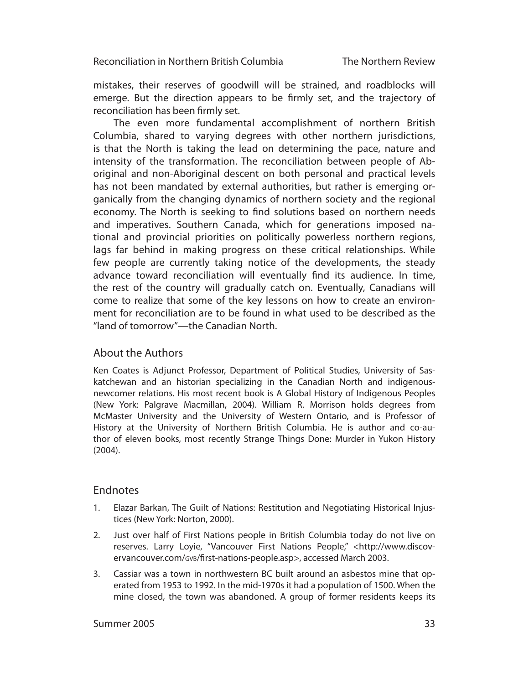The Northern Review

mistakes, their reserves of goodwill will be strained, and roadblocks will emerge. But the direction appears to be firmly set, and the trajectory of reconciliation has been firmly set.

The even more fundamental accomplishment of northern British Colum bia, shared to varying degrees with other northern jurisdictions, is that the North is taking the lead on determining the pace, nature and intensity of the transformation. The reconciliation between people of Aboriginal and non-Aboriginal descent on both personal and practical levels has not been mandated by external authorities, but rather is emerging organically from the changing dynamics of northern society and the regional economy. The North is seeking to find solutions based on northern needs and imperatives. Southern Canada, which for generations imposed national and provincial priorities on politically powerless northern regions, lags far behind in making progress on these critical relationships. While few people are currently taking notice of the developments, the steady advance toward reconciliation will eventually find its audience. In time, the rest of the country will gradually catch on. Eventually, Canadians will come to realize that some of the key lessons on how to create an environment for reconciliation are to be found in what used to be described as the "land of tomorrow"—the Canadian North.

## About the Authors

Ken Coates is Adjunct Professor, Department of Political Studies, University of Saskatchewan and an historian specializing in the Canadian North and indigenousnewcomer relations. His most recent book is A Global History of Indigenous Peoples (New York: Palgrave Macmillan, 2004). William R. Morrison holds degrees from McMaster University and the University of Western Ontario, and is Professor of History at the University of Northern British Columbia. He is author and co-author of eleven books, most recently Strange Things Done: Murder in Yukon History (2004).

## Endnotes

- 1. Elazar Barkan, The Guilt of Nations: Restitution and Negotiating Historical Injustices (New York: Norton, 2000).
- 2. Just over half of First Nations people in British Columbia today do not live on reserves. Larry Loyie, "Vancouver First Nations People," <http://www.discovervancouver.com/GVB/first-nations-people.asp>, accessed March 2003.
- 3. Cassiar was a town in northwestern BC built around an asbestos mine that operated from 1953 to 1992. In the mid-1970s it had a population of 1500. When the mine closed, the town was abandoned. A group of former residents keeps its